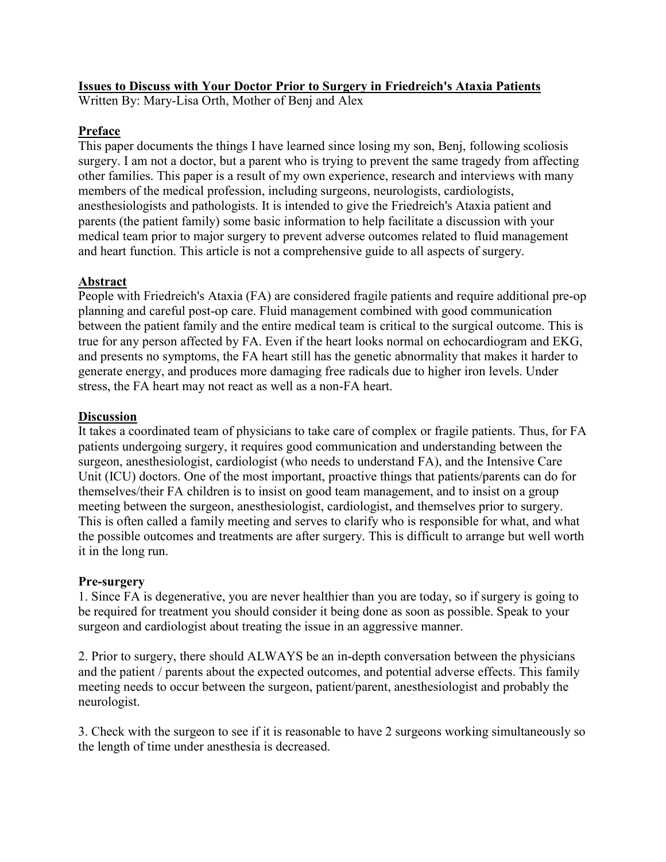# **Issues to Discuss with Your Doctor Prior to Surgery in Friedreich's Ataxia Patients**

Written By: Mary-Lisa Orth, Mother of Benj and Alex

# **Preface**

This paper documents the things I have learned since losing my son, Benj, following scoliosis surgery. I am not a doctor, but a parent who is trying to prevent the same tragedy from affecting other families. This paper is a result of my own experience, research and interviews with many members of the medical profession, including surgeons, neurologists, cardiologists, anesthesiologists and pathologists. It is intended to give the Friedreich's Ataxia patient and parents (the patient family) some basic information to help facilitate a discussion with your medical team prior to major surgery to prevent adverse outcomes related to fluid management and heart function. This article is not a comprehensive guide to all aspects of surgery.

# **Abstract**

People with Friedreich's Ataxia (FA) are considered fragile patients and require additional pre-op planning and careful post-op care. Fluid management combined with good communication between the patient family and the entire medical team is critical to the surgical outcome. This is true for any person affected by FA. Even if the heart looks normal on echocardiogram and EKG, and presents no symptoms, the FA heart still has the genetic abnormality that makes it harder to generate energy, and produces more damaging free radicals due to higher iron levels. Under stress, the FA heart may not react as well as a non-FA heart.

### **Discussion**

It takes a coordinated team of physicians to take care of complex or fragile patients. Thus, for FA patients undergoing surgery, it requires good communication and understanding between the surgeon, anesthesiologist, cardiologist (who needs to understand FA), and the Intensive Care Unit (ICU) doctors. One of the most important, proactive things that patients/parents can do for themselves/their FA children is to insist on good team management, and to insist on a group meeting between the surgeon, anesthesiologist, cardiologist, and themselves prior to surgery. This is often called a family meeting and serves to clarify who is responsible for what, and what the possible outcomes and treatments are after surgery. This is difficult to arrange but well worth it in the long run.

### **Pre-surgery**

1. Since FA is degenerative, you are never healthier than you are today, so if surgery is going to be required for treatment you should consider it being done as soon as possible. Speak to your surgeon and cardiologist about treating the issue in an aggressive manner.

2. Prior to surgery, there should ALWAYS be an in-depth conversation between the physicians and the patient / parents about the expected outcomes, and potential adverse effects. This family meeting needs to occur between the surgeon, patient/parent, anesthesiologist and probably the neurologist.

3. Check with the surgeon to see if it is reasonable to have 2 surgeons working simultaneously so the length of time under anesthesia is decreased.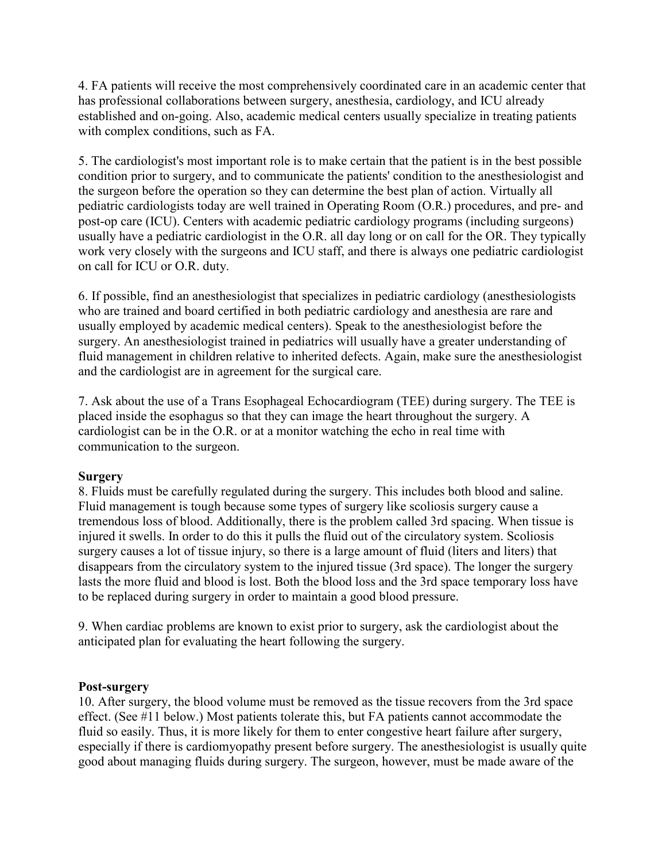4. FA patients will receive the most comprehensively coordinated care in an academic center that has professional collaborations between surgery, anesthesia, cardiology, and ICU already established and on-going. Also, academic medical centers usually specialize in treating patients with complex conditions, such as FA.

5. The cardiologist's most important role is to make certain that the patient is in the best possible condition prior to surgery, and to communicate the patients' condition to the anesthesiologist and the surgeon before the operation so they can determine the best plan of action. Virtually all pediatric cardiologists today are well trained in Operating Room (O.R.) procedures, and pre- and post-op care (ICU). Centers with academic pediatric cardiology programs (including surgeons) usually have a pediatric cardiologist in the O.R. all day long or on call for the OR. They typically work very closely with the surgeons and ICU staff, and there is always one pediatric cardiologist on call for ICU or O.R. duty.

6. If possible, find an anesthesiologist that specializes in pediatric cardiology (anesthesiologists who are trained and board certified in both pediatric cardiology and anesthesia are rare and usually employed by academic medical centers). Speak to the anesthesiologist before the surgery. An anesthesiologist trained in pediatrics will usually have a greater understanding of fluid management in children relative to inherited defects. Again, make sure the anesthesiologist and the cardiologist are in agreement for the surgical care.

7. Ask about the use of a Trans Esophageal Echocardiogram (TEE) during surgery. The TEE is placed inside the esophagus so that they can image the heart throughout the surgery. A cardiologist can be in the O.R. or at a monitor watching the echo in real time with communication to the surgeon.

### **Surgery**

8. Fluids must be carefully regulated during the surgery. This includes both blood and saline. Fluid management is tough because some types of surgery like scoliosis surgery cause a tremendous loss of blood. Additionally, there is the problem called 3rd spacing. When tissue is injured it swells. In order to do this it pulls the fluid out of the circulatory system. Scoliosis surgery causes a lot of tissue injury, so there is a large amount of fluid (liters and liters) that disappears from the circulatory system to the injured tissue (3rd space). The longer the surgery lasts the more fluid and blood is lost. Both the blood loss and the 3rd space temporary loss have to be replaced during surgery in order to maintain a good blood pressure.

9. When cardiac problems are known to exist prior to surgery, ask the cardiologist about the anticipated plan for evaluating the heart following the surgery.

#### **Post-surgery**

10. After surgery, the blood volume must be removed as the tissue recovers from the 3rd space effect. (See #11 below.) Most patients tolerate this, but FA patients cannot accommodate the fluid so easily. Thus, it is more likely for them to enter congestive heart failure after surgery, especially if there is cardiomyopathy present before surgery. The anesthesiologist is usually quite good about managing fluids during surgery. The surgeon, however, must be made aware of the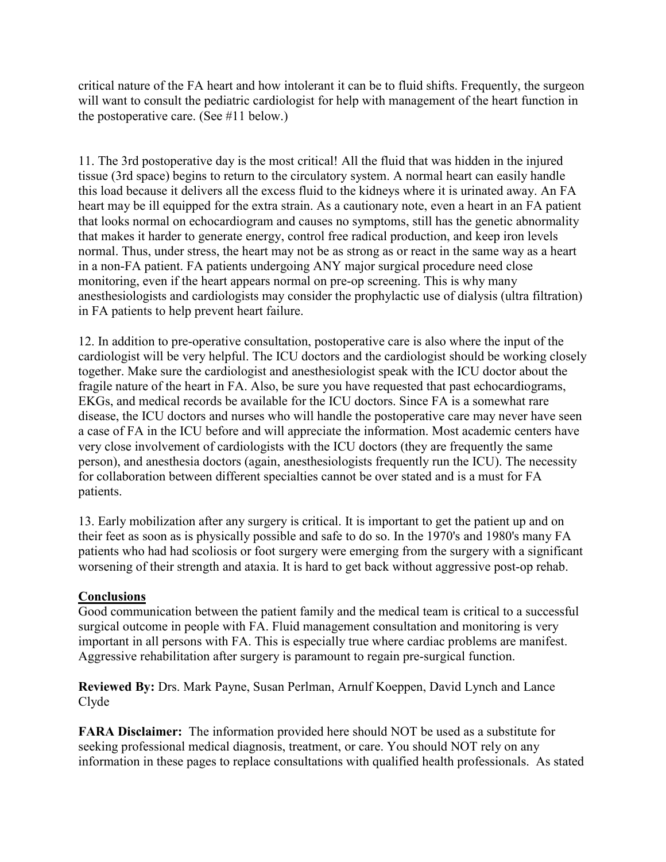critical nature of the FA heart and how intolerant it can be to fluid shifts. Frequently, the surgeon will want to consult the pediatric cardiologist for help with management of the heart function in the postoperative care. (See #11 below.)

11. The 3rd postoperative day is the most critical! All the fluid that was hidden in the injured tissue (3rd space) begins to return to the circulatory system. A normal heart can easily handle this load because it delivers all the excess fluid to the kidneys where it is urinated away. An FA heart may be ill equipped for the extra strain. As a cautionary note, even a heart in an FA patient that looks normal on echocardiogram and causes no symptoms, still has the genetic abnormality that makes it harder to generate energy, control free radical production, and keep iron levels normal. Thus, under stress, the heart may not be as strong as or react in the same way as a heart in a non-FA patient. FA patients undergoing ANY major surgical procedure need close monitoring, even if the heart appears normal on pre-op screening. This is why many anesthesiologists and cardiologists may consider the prophylactic use of dialysis (ultra filtration) in FA patients to help prevent heart failure.

12. In addition to pre-operative consultation, postoperative care is also where the input of the cardiologist will be very helpful. The ICU doctors and the cardiologist should be working closely together. Make sure the cardiologist and anesthesiologist speak with the ICU doctor about the fragile nature of the heart in FA. Also, be sure you have requested that past echocardiograms, EKGs, and medical records be available for the ICU doctors. Since FA is a somewhat rare disease, the ICU doctors and nurses who will handle the postoperative care may never have seen a case of FA in the ICU before and will appreciate the information. Most academic centers have very close involvement of cardiologists with the ICU doctors (they are frequently the same person), and anesthesia doctors (again, anesthesiologists frequently run the ICU). The necessity for collaboration between different specialties cannot be over stated and is a must for FA patients.

13. Early mobilization after any surgery is critical. It is important to get the patient up and on their feet as soon as is physically possible and safe to do so. In the 1970's and 1980's many FA patients who had had scoliosis or foot surgery were emerging from the surgery with a significant worsening of their strength and ataxia. It is hard to get back without aggressive post-op rehab.

### **Conclusions**

Good communication between the patient family and the medical team is critical to a successful surgical outcome in people with FA. Fluid management consultation and monitoring is very important in all persons with FA. This is especially true where cardiac problems are manifest. Aggressive rehabilitation after surgery is paramount to regain pre-surgical function.

**Reviewed By:** Drs. Mark Payne, Susan Perlman, Arnulf Koeppen, David Lynch and Lance Clyde

**FARA Disclaimer:** The information provided here should NOT be used as a substitute for seeking professional medical diagnosis, treatment, or care. You should NOT rely on any information in these pages to replace consultations with qualified health professionals. As stated